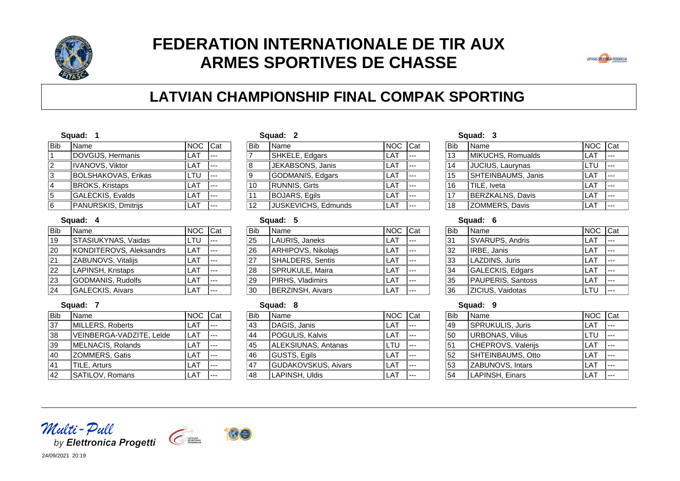

# **FEDERATION INTERNATIONALE DE TIR AUX ARMES SPORTIVES DE CHASSE**



# **LATVIAN CHAMPIONSHIP FINAL COMPAK SPORTING**

#### **Squad: 1**

| Name                       |      |         |
|----------------------------|------|---------|
| DOVGIJS, Hermanis          | LAT  |         |
| IVANOVS, Viktor            | LAT  |         |
| <b>BOLSHAKOVAS, Erikas</b> | LTU  |         |
| <b>BROKS, Kristaps</b>     | LAT  |         |
| GALECKIS, Evalds           | LAT  |         |
| PANURSKIS, Dmitrijs        | I AT |         |
|                            |      | NOC Cat |

#### **Squad: 4**

**Squad: 7**

| Name                    | <b>NOC</b>                                   | Cat |
|-------------------------|----------------------------------------------|-----|
| STASIUKYNAS, Vaidas     | LTU                                          |     |
|                         | <b>LAT</b>                                   |     |
| ZABUNOVS, Vitalijs      | L AT                                         |     |
| LAPINSH, Kristaps       | L AT                                         |     |
|                         | LAT                                          |     |
| <b>GALECKIS, Aivars</b> | I AT                                         |     |
|                         | KONDITEROVS, Aleksandrs<br>GODMANIS, Rudolfs |     |

# **Squad: 2**

| <b>Bib</b> | Name                 | <b>NOC</b> | Cat |
|------------|----------------------|------------|-----|
| 7          | SHKELE, Edgars       | LAT        |     |
| 8          | JEKABSONS, Janis     | LAT        |     |
| 9          | GODMANIS, Edgars     | LAT        |     |
| 10         | <b>RUNNIS, Girts</b> | LAT        |     |
| 11         | <b>BOJARS, Egils</b> | LAT        |     |
| 12         | JUSKEVICHS, Edmunds  | ΑT         |     |

### **Squad: 5**

| Bib             | Name                    | <b>INOC</b> | <b>I</b> Cat |
|-----------------|-------------------------|-------------|--------------|
| 25              | LAURIS, Janeks          | LAT         |              |
| $\overline{26}$ | ARHIPOVS, Nikolajs      | LAT         |              |
| 27              | <b>SHALDERS, Sentis</b> | LAT         |              |
| 28              | SPRUKULE, Maira         | I AT        |              |
| 29              | PIRHS, Vladimirs        | LAT         |              |
| $\overline{30}$ | <b>BERZINSH, Aivars</b> | A           |              |

### **Squad: 8**

|                 | vyuuu. v                   |         |  |
|-----------------|----------------------------|---------|--|
| <b>Bib</b>      | Name                       | NOC Cat |  |
| 43              | DAGIS, Janis               | LAT     |  |
| $\overline{44}$ | POGULIS, Kalvis            | LAT     |  |
| $\overline{45}$ | <b>ALEKSIUNAS, Antanas</b> | LTU     |  |
| $\overline{46}$ | GUSTS, Egils               | LAT     |  |
| $\overline{47}$ | GUDAKOVSKUS, Aivars        | LAT     |  |
| $\overline{48}$ | LAPINSH, Uldis             | ΑT      |  |

#### **Squad: 3**

| Bib | Name                    | <b>NOC</b> | Cat |
|-----|-------------------------|------------|-----|
| 13  | MIKUCHS, Romualds       | LAT        |     |
| 14  | <b>JUCIUS, Laurynas</b> | LTU        |     |
| 15  | SHTEINBAUMS, Janis      | LAT        |     |
| 16  | TILE, Iveta             | LAT        |     |
| 17  | BERZKALNS, Davis        | L A T      |     |
| 18  | ZOMMERS, Davis          |            |     |

## **Squad: 6**

| Bib             | Name              | <b>NOC</b> | <b>I</b> Cat |
|-----------------|-------------------|------------|--------------|
| 31              | SVARUPS, Andris   | - A T      |              |
| 32              | IRBE, Janis       | I AT       |              |
| 33              | LAZDINS, Juris    | I AT       |              |
| 34              | GALECKIS, Edgars  | I AT       |              |
| $\overline{35}$ | PAUPERIS, Santoss | AT         |              |
| $\overline{36}$ | ZICIUS, Vaidotas  |            |              |

### **Squad: 9**

| Bib             | Name               | <b>NOC</b> | <b>ICat</b> |
|-----------------|--------------------|------------|-------------|
| 49              | SPRUKULIS, Juris   | LAT        |             |
| 50              | URBONAS, Vilius    | LTU        |             |
| 51              | CHEPROVS, Valerijs | LAT        |             |
| $\overline{52}$ | SHTEINBAUMS, Otto  | LAT        |             |
| $\overline{53}$ | ZABUNOVS, Intars   | LAT        |             |
| 54              | LAPINSH, Einars    | ΑT         |             |

| 37 | MILLERS, Roberts         | LAT  |  |
|----|--------------------------|------|--|
| 38 | VEINBERGA-VADZITE, Lelde | LAT  |  |
| 39 | MELNACIS, Rolands        | LAT  |  |
| 40 | <b>ZOMMERS, Gatis</b>    | LAT  |  |
| 41 | TILE, Arturs             | LAT  |  |
| 42 | SATILOV, Romans          | I AT |  |

Bib Name NOC Cat